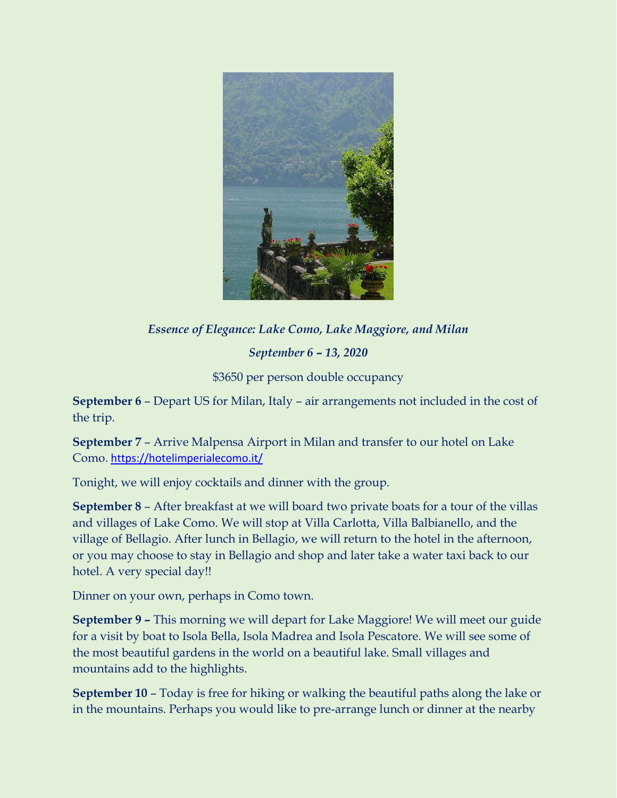

*Essence of Elegance: Lake Como, Lake Maggiore, and Milan September 6 – 13, 2020*

\$3650 per person double occupancy

**September 6** – Depart US for Milan, Italy – air arrangements not included in the cost of the trip.

**September 7** – Arrive Malpensa Airport in Milan and transfer to our hotel on Lake Como. <https://hotelimperialecomo.it/>

Tonight, we will enjoy cocktails and dinner with the group.

**September 8** – After breakfast at we will board two private boats for a tour of the villas and villages of Lake Como. We will stop at Villa Carlotta, Villa Balbianello, and the village of Bellagio. After lunch in Bellagio, we will return to the hotel in the afternoon, or you may choose to stay in Bellagio and shop and later take a water taxi back to our hotel. A very special day!!

Dinner on your own, perhaps in Como town.

**September 9 –** This morning we will depart for Lake Maggiore! We will meet our guide for a visit by boat to Isola Bella, Isola Madrea and Isola Pescatore. We will see some of the most beautiful gardens in the world on a beautiful lake. Small villages and mountains add to the highlights.

**September 10** – Today is free for hiking or walking the beautiful paths along the lake or in the mountains. Perhaps you would like to pre-arrange lunch or dinner at the nearby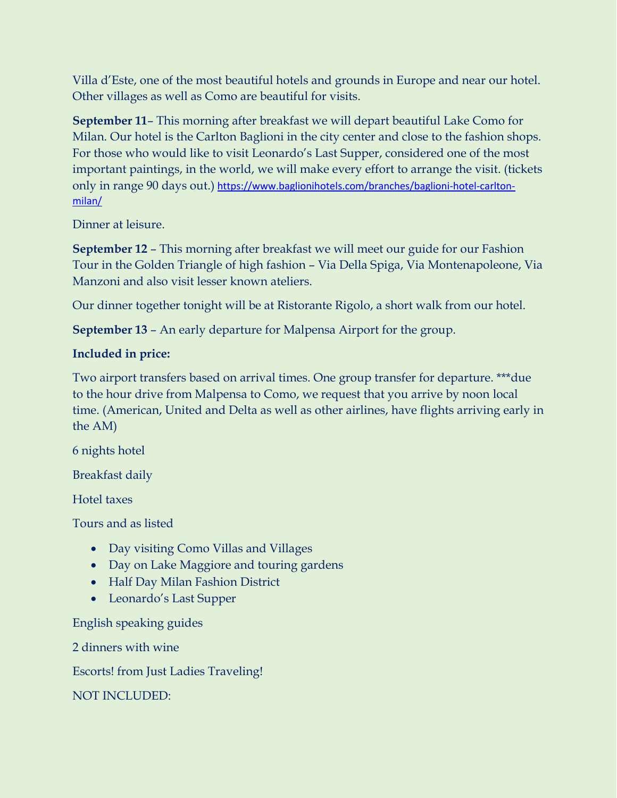Villa d'Este, one of the most beautiful hotels and grounds in Europe and near our hotel. Other villages as well as Como are beautiful for visits.

**September 11**– This morning after breakfast we will depart beautiful Lake Como for Milan. Our hotel is the Carlton Baglioni in the city center and close to the fashion shops. For those who would like to visit Leonardo's Last Supper, considered one of the most important paintings, in the world, we will make every effort to arrange the visit. (tickets only in range 90 days out.) [https://www.baglionihotels.com/branches/baglioni-hotel-carlton](https://www.baglionihotels.com/branches/baglioni-hotel-carlton-milan/)[milan/](https://www.baglionihotels.com/branches/baglioni-hotel-carlton-milan/)

Dinner at leisure.

**September 12** – This morning after breakfast we will meet our guide for our Fashion Tour in the Golden Triangle of high fashion – Via Della Spiga, Via Montenapoleone, Via Manzoni and also visit lesser known ateliers.

Our dinner together tonight will be at Ristorante Rigolo, a short walk from our hotel.

**September 13** – An early departure for Malpensa Airport for the group.

## **Included in price:**

Two airport transfers based on arrival times. One group transfer for departure. \*\*\*due to the hour drive from Malpensa to Como, we request that you arrive by noon local time. (American, United and Delta as well as other airlines, have flights arriving early in the AM)

6 nights hotel

Breakfast daily

Hotel taxes

Tours and as listed

- Day visiting Como Villas and Villages
- Day on Lake Maggiore and touring gardens
- Half Day Milan Fashion District
- Leonardo's Last Supper

English speaking guides

2 dinners with wine

Escorts! from Just Ladies Traveling!

NOT INCLUDED: